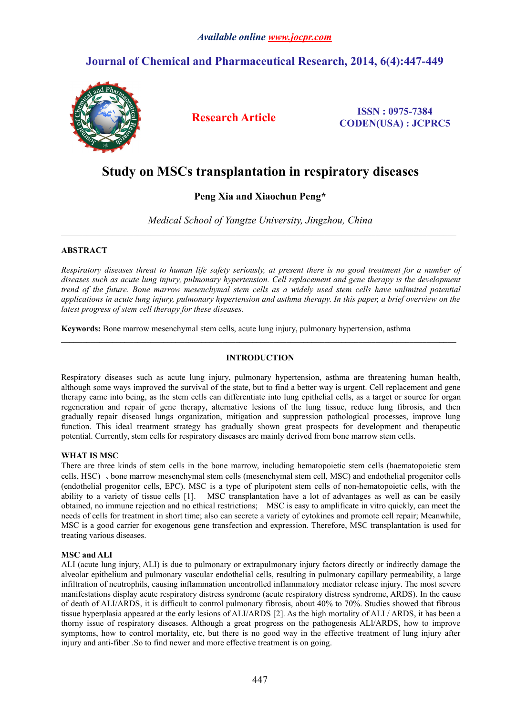### *Available online [www.jocpr.com](http://www.jocpr.com)*

## **Journal of Chemical and Pharmaceutical Research, 2014, 6(4):447-449**



**Research Article ISSN : 0975-7384 CODEN(USA) : JCPRC5**

# **Study on MSCs transplantation in respiratory diseases**

## **Peng Xia and Xiaochun Peng\***

*Medical School of Yangtze University, Jingzhou, China*

 $\_$  , and the state of the state of the state of the state of the state of the state of the state of the state of the state of the state of the state of the state of the state of the state of the state of the state of the

 $\_$  , and the state of the state of the state of the state of the state of the state of the state of the state of the state of the state of the state of the state of the state of the state of the state of the state of the

#### **ABSTRACT**

Respiratory diseases threat to human life safety seriously, at present there is no good treatment for a number of *diseases such as acute lung injury, pulmonary hypertension. Cell replacement and gene therapy is the development* trend of the future. Bone marrow mesenchymal stem cells as a widely used stem cells have unlimited potential applications in acute lung injury, pulmonary hypertension and asthma therapy. In this paper, a brief overview on the *latest progress of stem cell therapy for these diseases.*

**Keywords:** Bone marrow mesenchymal stem cells, acute lung injury, pulmonary hypertension, asthma

#### **INTRODUCTION**

Respiratory diseases such as acute lung injury, pulmonary hypertension, asthma are threatening human health, although some ways improved the survival of the state, but to find a better way is urgent. Cell replacement and gene therapy came into being, as the stem cells can differentiate into lung epithelial cells, as a target or source for organ regeneration and repair of gene therapy, alternative lesions of the lung tissue, reduce lung fibrosis, and then gradually repair diseased lungs organization, mitigation and suppression pathological processes, improve lung function. This ideal treatment strategy has gradually shown great prospects for development and therapeutic potential. Currently, stem cells for respiratory diseases are mainly derived from bone marrow stem cells.

#### **WHAT IS MSC**

There are three kinds of stem cells in the bone marrow, including hematopoietic stem cells (haematopoietic stem cells, HSC) 、bone marrow mesenchymal stem cells (mesenchymal stem cell, MSC) and endothelial progenitor cells (endothelial progenitor cells, EPC). MSC is a type of pluripotent stem cells of non-hematopoietic cells, with the ability to a variety of tissue cells [1]. MSC transplantation have a lot of advantages as well as can be easily obtained, no immune rejection and no ethical restrictions; MSC is easy to amplificate in vitro quickly, can meet the needs of cells for treatment in short time; also can secrete a variety of cytokines and promote cell repair; Meanwhile, MSC is a good carrier for exogenous gene transfection and expression. Therefore, MSC transplantation is used for treating various diseases.

#### **MSC and ALI**

ALI (acute lung injury, ALI) is due to pulmonary or extrapulmonary injury factors directly or indirectly damage the alveolar epithelium and pulmonary vascular endothelial cells, resulting in pulmonary capillary permeability, a large infiltration of neutrophils, causing inflammation uncontrolled inflammatory mediator release injury. The most severe manifestations display acute respiratory distress syndrome (acute respiratory distress syndrome, ARDS). In the cause of death of ALI/ARDS, it is difficult to control pulmonary fibrosis, about 40% to 70%. Studies showed that fibrous tissue hyperplasia appeared at the early lesions of ALI/ARDS [2]. As the high mortality of ALI / ARDS, it has been a thorny issue of respiratory diseases. Although a great progress on the pathogenesis ALl/ARDS, how to improve symptoms, how to control mortality, etc, but there is no good way in the effective treatment of lung injury after injury and anti-fiber .So to find newer and more effective treatment is on going.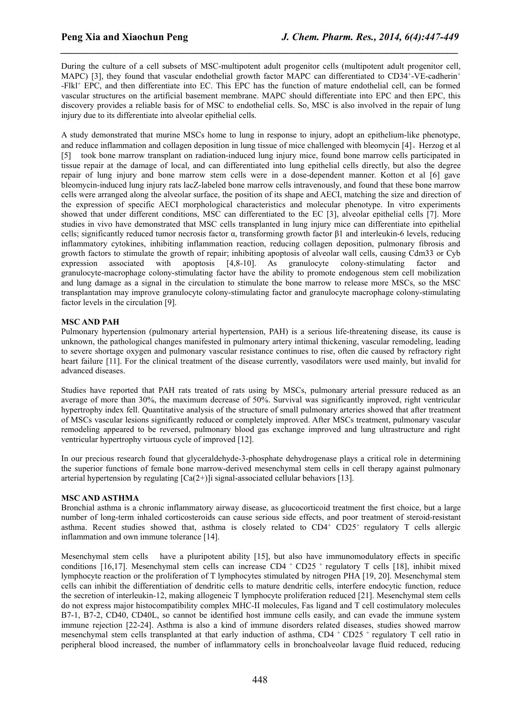During the culture of a cell subsets of MSC-multipotent adult progenitor cells (multipotent adult progenitor cell, MAPC) [3], they found that vascular endothelial growth factor MAPC can differentiated to CD34<sup>+</sup>-VE-cadherin<sup>+</sup> -Flkl<sup>+</sup> EPC, and then differentiate into EC. This EPC has the function of mature endothelial cell, can be formed vascular structures on the artificial basement membrane. MAPC should differentiate into EPC and then EPC, this discovery provides a reliable basis for of MSC to endothelial cells. So, MSC is also involved in the repair of lung injury due to its differentiate into alveolar epithelial cells.

*\_\_\_\_\_\_\_\_\_\_\_\_\_\_\_\_\_\_\_\_\_\_\_\_\_\_\_\_\_\_\_\_\_\_\_\_\_\_\_\_\_\_\_\_\_\_\_\_\_\_\_\_\_\_\_\_\_\_\_\_\_\_\_\_\_\_\_\_\_\_\_\_\_\_\_\_\_\_*

A study demonstrated that murine MSCs home to lung in response to injury, adopt an epithelium-like phenotype, and reduce inflammation and collagen deposition in lung tissue of mice challenged with bleomycin [4]。Herzog et al [5] took bone marrow transplant on radiation-induced lung injury mice, found bone marrow cells participated in tissue repair at the damage of local, and can differentiated into lung epithelial cells directly, but also the degree repair of lung injury and bone marrow stem cells were in a dose-dependent manner. Kotton et al [6] gave bleomycin-induced lung injury rats lacZ-labeled bone marrow cells intravenously, and found that these bone marrow cells were arranged along the alveolar surface, the position of its shape and AECI, matching the size and direction of the expression of specific AECI morphological characteristics and molecular phenotype. In vitro experiments showed that under different conditions, MSC can differentiated to the EC [3], alveolar epithelial cells [7]. More studies in vivo have demonstrated that MSC cells transplanted in lung injury mice can differentiate into epithelial cells; significantly reduced tumor necrosis factor  $\alpha$ , transforming growth factor  $\beta$ 1 and interleukin-6 levels, reducing inflammatory cytokines, inhibiting inflammation reaction, reducing collagen deposition, pulmonary fibrosis and growth factors to stimulate the growth of repair; inhibiting apoptosis of alveolar wall cells, causing Cdm33 or Cyb expression associated with apoptosis [4,8-10]. As granulocyte colony-stimulating factor and granulocyte-macrophage colony-stimulating factor have the ability to promote endogenous stem cell mobilization and lung damage as a signal in the circulation to stimulate the bone marrow to release more MSCs, so the MSC transplantation may improve granulocyte colony-stimulating factor and granulocyte macrophage colony-stimulating factor levels in the circulation [9].

#### **MSC AND PAH**

Pulmonary hypertension (pulmonary arterial hypertension, PAH) is a serious life-threatening disease, its cause is unknown, the pathological changes manifested in pulmonary artery intimal thickening, vascular remodeling, leading to severe shortage oxygen and pulmonary vascular resistance continues to rise, often die caused by refractory right heart failure [11]. For the clinical treatment of the disease currently, vasodilators were used mainly, but invalid for advanced diseases.

Studies have reported that PAH rats treated of rats using by MSCs, pulmonary arterial pressure reduced as an average of more than 30%, the maximum decrease of 50%. Survival was significantly improved, right ventricular hypertrophy index fell. Quantitative analysis of the structure of small pulmonary arteries showed that after treatment of MSCs vascular lesions significantly reduced or completely improved. After MSCs treatment, pulmonary vascular remodeling appeared to be reversed, pulmonary blood gas exchange improved and lung ultrastructure and right ventricular hypertrophy virtuous cycle of improved [12].

In our precious research found that glyceraldehyde-3-phosphate dehydrogenase plays a critical role in determining the superior functions of female bone marrow-derived mesenchymal stem cells in cell therapy against pulmonary arterial hypertension by regulating  $[Ca(2+)$ ]i signal-associated cellular behaviors [13].

#### **MSC AND ASTHMA**

Bronchial asthma is a chronic inflammatory airway disease, as glucocorticoid treatment the first choice, but a large number of long-term inhaled corticosteroids can cause serious side effects, and poor treatment of steroid-resistant asthma. Recent studies showed that, asthma is closely related to  $CD4^+$  CD25<sup>+</sup> regulatory T cells allergic inflammation and own immune tolerance [14].

Mesenchymal stem cells have a pluripotent ability [15], but also have immunomodulatory effects in specific conditions [16,17]. Mesenchymal stem cells can increase  $CD4 + CD25 +$  regulatory T cells [18], inhibit mixed lymphocyte reaction or the proliferation of T lymphocytes stimulated by nitrogen PHA [19, 20]. Mesenchymal stem cells can inhibit the differentiation of dendritic cells to mature dendritic cells, interfere endocytic function, reduce the secretion of interleukin-12, making allogeneic T lymphocyte proliferation reduced [21]. Mesenchymal stem cells do not express major histocompatibility complex MHC-II molecules, Fas ligand and T cell costimulatory molecules B7-1, B7-2, CD40, CD40L, so cannot be identified host immune cells easily, and can evade the immune system immune rejection [22-24]. Asthma is also a kind of immune disorders related diseases, studies showed marrow mesenchymal stem cells transplanted at that early induction of asthma, CD4 + CD25 + regulatory T cell ratio in peripheral blood increased, the number of inflammatory cells in bronchoalveolar lavage fluid reduced, reducing